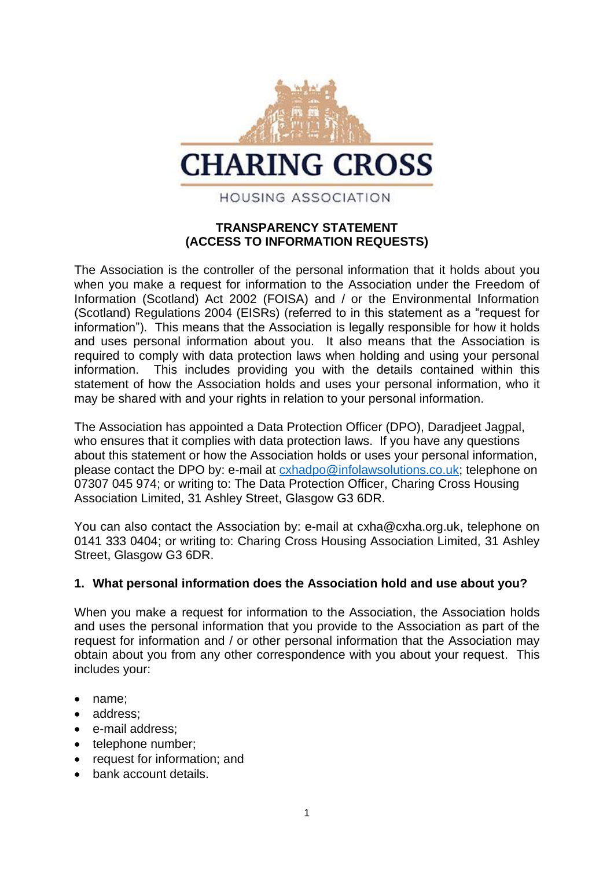

### **TRANSPARENCY STATEMENT (ACCESS TO INFORMATION REQUESTS)**

The Association is the controller of the personal information that it holds about you when you make a request for information to the Association under the Freedom of Information (Scotland) Act 2002 (FOISA) and / or the Environmental Information (Scotland) Regulations 2004 (EISRs) (referred to in this statement as a "request for information"). This means that the Association is legally responsible for how it holds and uses personal information about you. It also means that the Association is required to comply with data protection laws when holding and using your personal information. This includes providing you with the details contained within this statement of how the Association holds and uses your personal information, who it may be shared with and your rights in relation to your personal information.

The Association has appointed a Data Protection Officer (DPO), Daradjeet Jagpal, who ensures that it complies with data protection laws. If you have any questions about this statement or how the Association holds or uses your personal information, please contact the DPO by: e-mail at [cxhadpo@infolawsolutions.co.uk;](mailto:cxhadpo@infolawsolutions.co.uk) telephone on 07307 045 974; or writing to: The Data Protection Officer, Charing Cross Housing Association Limited, 31 Ashley Street, Glasgow G3 6DR.

You can also contact the Association by: e-mail at cxha@cxha.org.uk, telephone on 0141 333 0404; or writing to: Charing Cross Housing Association Limited, 31 Ashley Street, Glasgow G3 6DR.

#### **1. What personal information does the Association hold and use about you?**

When you make a request for information to the Association, the Association holds and uses the personal information that you provide to the Association as part of the request for information and / or other personal information that the Association may obtain about you from any other correspondence with you about your request. This includes your:

- name:
- address:
- e-mail address;
- telephone number;
- request for information; and
- bank account details.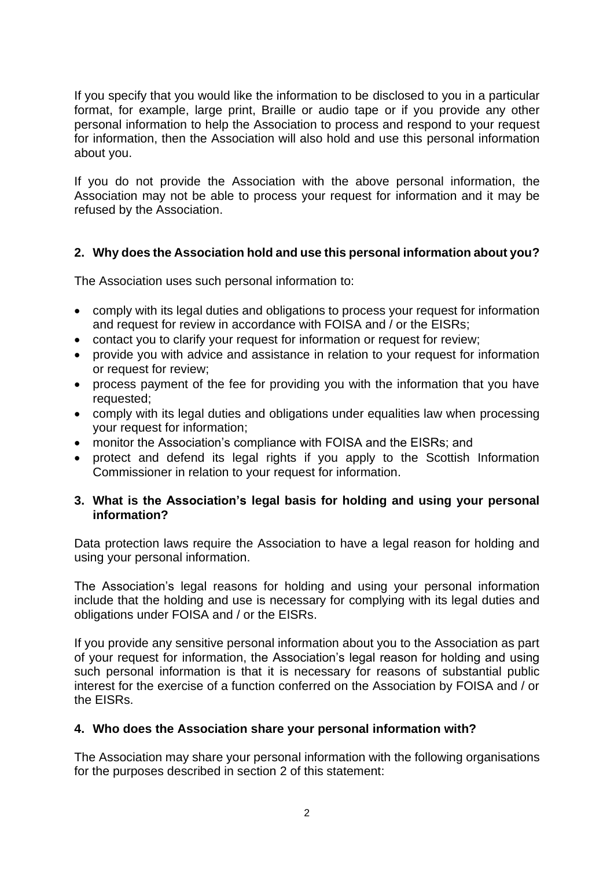If you specify that you would like the information to be disclosed to you in a particular format, for example, large print, Braille or audio tape or if you provide any other personal information to help the Association to process and respond to your request for information, then the Association will also hold and use this personal information about you.

If you do not provide the Association with the above personal information, the Association may not be able to process your request for information and it may be refused by the Association.

## **2. Why does the Association hold and use this personal information about you?**

The Association uses such personal information to:

- comply with its legal duties and obligations to process your request for information and request for review in accordance with FOISA and / or the EISRs;
- contact you to clarify your request for information or request for review;
- provide you with advice and assistance in relation to your request for information or request for review;
- process payment of the fee for providing you with the information that you have requested;
- comply with its legal duties and obligations under equalities law when processing your request for information;
- monitor the Association's compliance with FOISA and the EISRs; and
- protect and defend its legal rights if you apply to the Scottish Information Commissioner in relation to your request for information.

#### **3. What is the Association's legal basis for holding and using your personal information?**

Data protection laws require the Association to have a legal reason for holding and using your personal information.

The Association's legal reasons for holding and using your personal information include that the holding and use is necessary for complying with its legal duties and obligations under FOISA and / or the EISRs.

If you provide any sensitive personal information about you to the Association as part of your request for information, the Association's legal reason for holding and using such personal information is that it is necessary for reasons of substantial public interest for the exercise of a function conferred on the Association by FOISA and / or the EISRs.

#### **4. Who does the Association share your personal information with?**

The Association may share your personal information with the following organisations for the purposes described in section 2 of this statement: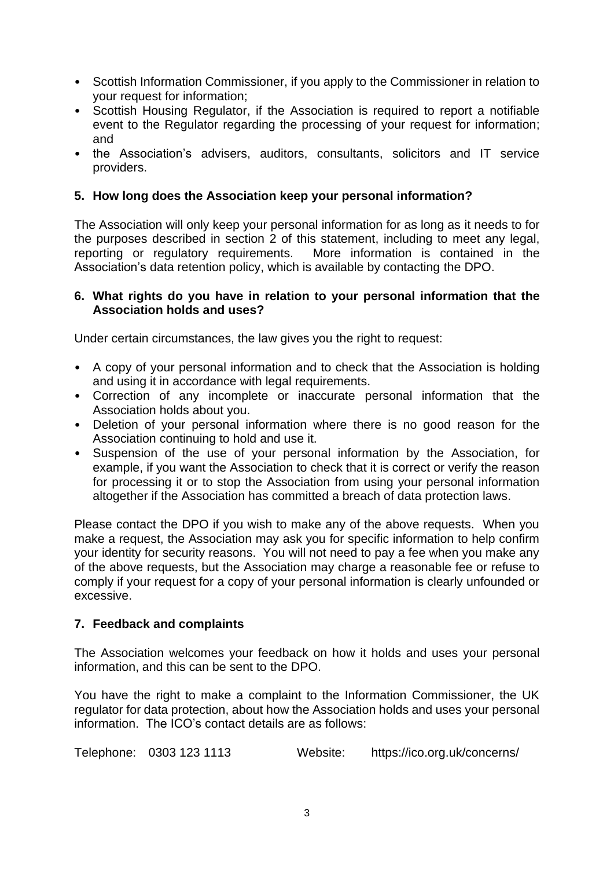- Scottish Information Commissioner, if you apply to the Commissioner in relation to your request for information;
- Scottish Housing Regulator, if the Association is required to report a notifiable event to the Regulator regarding the processing of your request for information; and
- the Association's advisers, auditors, consultants, solicitors and IT service providers.

### **5. How long does the Association keep your personal information?**

The Association will only keep your personal information for as long as it needs to for the purposes described in section 2 of this statement, including to meet any legal, reporting or regulatory requirements. More information is contained in the Association's data retention policy, which is available by contacting the DPO.

#### **6. What rights do you have in relation to your personal information that the Association holds and uses?**

Under certain circumstances, the law gives you the right to request:

- A copy of your personal information and to check that the Association is holding and using it in accordance with legal requirements.
- Correction of any incomplete or inaccurate personal information that the Association holds about you.
- Deletion of your personal information where there is no good reason for the Association continuing to hold and use it.
- Suspension of the use of your personal information by the Association, for example, if you want the Association to check that it is correct or verify the reason for processing it or to stop the Association from using your personal information altogether if the Association has committed a breach of data protection laws.

Please contact the DPO if you wish to make any of the above requests. When you make a request, the Association may ask you for specific information to help confirm your identity for security reasons. You will not need to pay a fee when you make any of the above requests, but the Association may charge a reasonable fee or refuse to comply if your request for a copy of your personal information is clearly unfounded or excessive.

## **7. Feedback and complaints**

The Association welcomes your feedback on how it holds and uses your personal information, and this can be sent to the DPO.

You have the right to make a complaint to the Information Commissioner, the UK regulator for data protection, about how the Association holds and uses your personal information. The ICO's contact details are as follows:

Telephone: 0303 123 1113 Website: https://ico.org.uk/concerns/